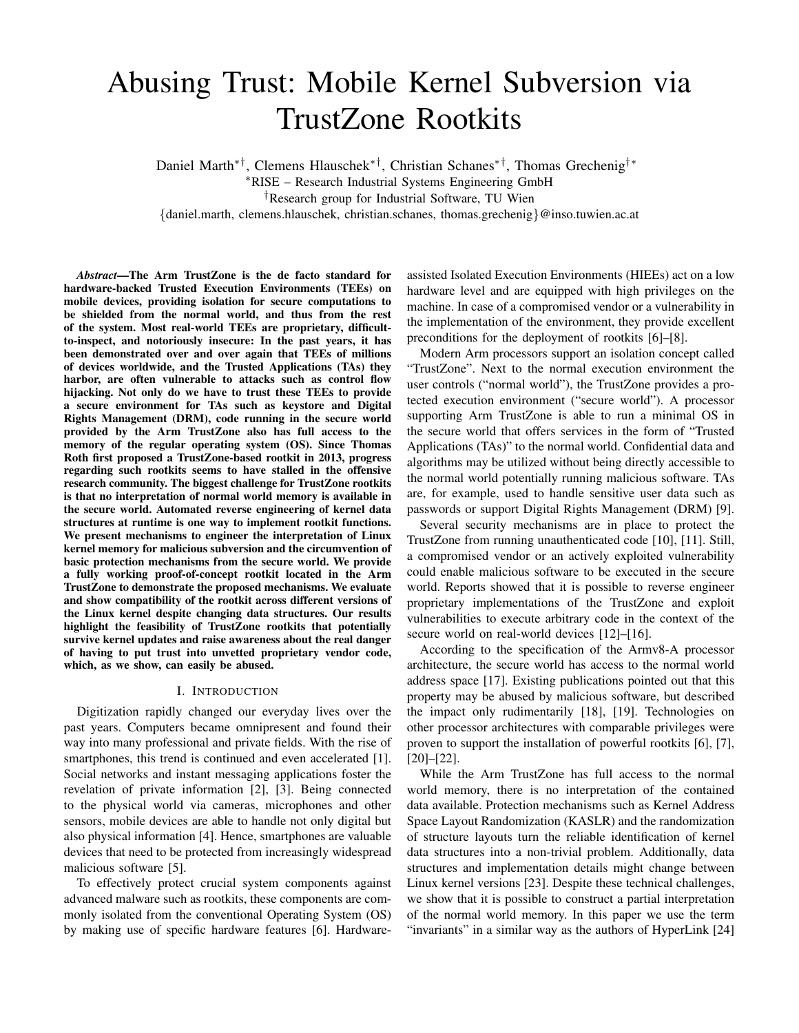# Abusing Trust: Mobile Kernel Subversion via TrustZone Rootkits

Daniel Marth∗†, Clemens Hlauschek∗†, Christian Schanes∗†, Thomas Grechenig†∗

<sup>∗</sup>RISE – Research Industrial Systems Engineering GmbH

†Research group for Industrial Software, TU Wien

{daniel.marth, clemens.hlauschek, christian.schanes, thomas.grechenig}@inso.tuwien.ac.at

*Abstract*—The Arm TrustZone is the de facto standard for hardware-backed Trusted Execution Environments (TEEs) on mobile devices, providing isolation for secure computations to be shielded from the normal world, and thus from the rest of the system. Most real-world TEEs are proprietary, difficultto-inspect, and notoriously insecure: In the past years, it has been demonstrated over and over again that TEEs of millions of devices worldwide, and the Trusted Applications (TAs) they harbor, are often vulnerable to attacks such as control flow hijacking. Not only do we have to trust these TEEs to provide a secure environment for TAs such as keystore and Digital Rights Management (DRM), code running in the secure world provided by the Arm TrustZone also has full access to the memory of the regular operating system (OS). Since Thomas Roth first proposed a TrustZone-based rootkit in 2013, progress regarding such rootkits seems to have stalled in the offensive research community. The biggest challenge for TrustZone rootkits is that no interpretation of normal world memory is available in the secure world. Automated reverse engineering of kernel data structures at runtime is one way to implement rootkit functions. We present mechanisms to engineer the interpretation of Linux kernel memory for malicious subversion and the circumvention of basic protection mechanisms from the secure world. We provide a fully working proof-of-concept rootkit located in the Arm TrustZone to demonstrate the proposed mechanisms. We evaluate and show compatibility of the rootkit across different versions of the Linux kernel despite changing data structures. Our results highlight the feasibility of TrustZone rootkits that potentially survive kernel updates and raise awareness about the real danger of having to put trust into unvetted proprietary vendor code, which, as we show, can easily be abused.

## I. INTRODUCTION

Digitization rapidly changed our everyday lives over the past years. Computers became omnipresent and found their way into many professional and private fields. With the rise of smartphones, this trend is continued and even accelerated [1]. Social networks and instant messaging applications foster the revelation of private information [2], [3]. Being connected to the physical world via cameras, microphones and other sensors, mobile devices are able to handle not only digital but also physical information [4]. Hence, smartphones are valuable devices that need to be protected from increasingly widespread malicious software [5].

To effectively protect crucial system components against advanced malware such as rootkits, these components are commonly isolated from the conventional Operating System (OS) by making use of specific hardware features [6]. Hardwareassisted Isolated Execution Environments (HIEEs) act on a low hardware level and are equipped with high privileges on the machine. In case of a compromised vendor or a vulnerability in the implementation of the environment, they provide excellent preconditions for the deployment of rootkits [6]–[8].

Modern Arm processors support an isolation concept called "TrustZone". Next to the normal execution environment the user controls ("normal world"), the TrustZone provides a protected execution environment ("secure world"). A processor supporting Arm TrustZone is able to run a minimal OS in the secure world that offers services in the form of "Trusted Applications (TAs)" to the normal world. Confidential data and algorithms may be utilized without being directly accessible to the normal world potentially running malicious software. TAs are, for example, used to handle sensitive user data such as passwords or support Digital Rights Management (DRM) [9].

Several security mechanisms are in place to protect the TrustZone from running unauthenticated code [10], [11]. Still, a compromised vendor or an actively exploited vulnerability could enable malicious software to be executed in the secure world. Reports showed that it is possible to reverse engineer proprietary implementations of the TrustZone and exploit vulnerabilities to execute arbitrary code in the context of the secure world on real-world devices [12]–[16].

According to the specification of the Armv8-A processor architecture, the secure world has access to the normal world address space [17]. Existing publications pointed out that this property may be abused by malicious software, but described the impact only rudimentarily [18], [19]. Technologies on other processor architectures with comparable privileges were proven to support the installation of powerful rootkits [6], [7], [20]–[22].

While the Arm TrustZone has full access to the normal world memory, there is no interpretation of the contained data available. Protection mechanisms such as Kernel Address Space Layout Randomization (KASLR) and the randomization of structure layouts turn the reliable identification of kernel data structures into a non-trivial problem. Additionally, data structures and implementation details might change between Linux kernel versions [23]. Despite these technical challenges, we show that it is possible to construct a partial interpretation of the normal world memory. In this paper we use the term "invariants" in a similar way as the authors of HyperLink [24]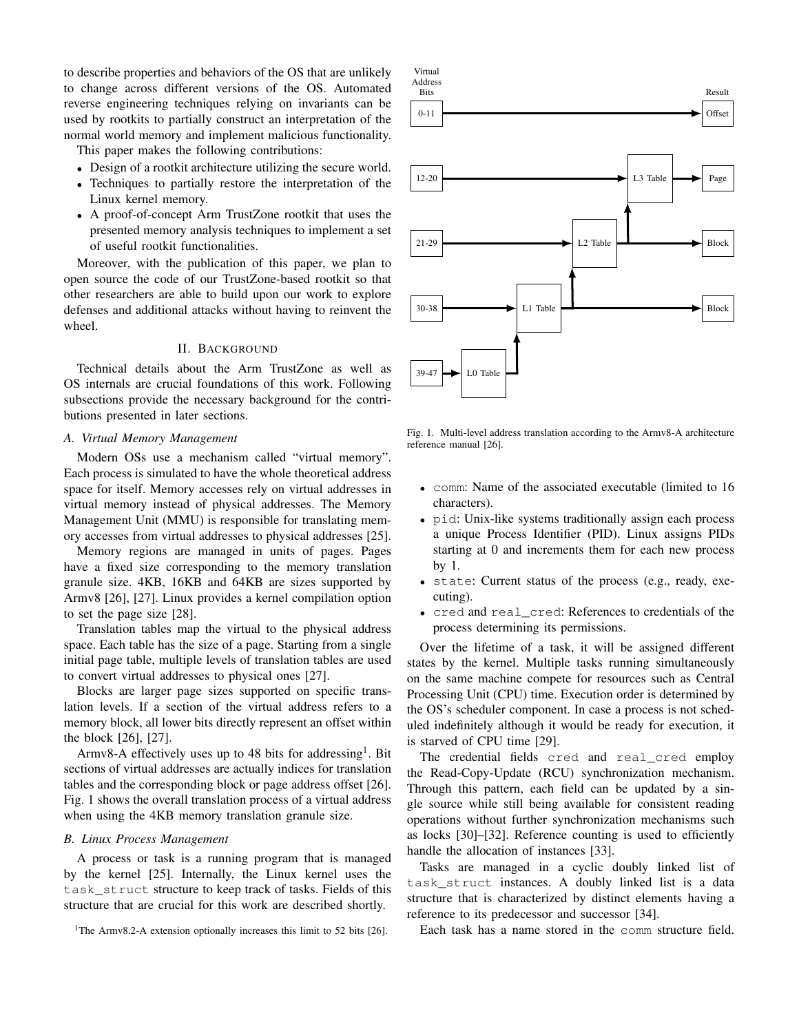to describe properties and behaviors of the OS that are unlikely to change across different versions of the OS. Automated reverse engineering techniques relying on invariants can be used by rootkits to partially construct an interpretation of the normal world memory and implement malicious functionality.

This paper makes the following contributions:

- Design of a rootkit architecture utilizing the secure world.
- Techniques to partially restore the interpretation of the Linux kernel memory.
- A proof-of-concept Arm TrustZone rootkit that uses the presented memory analysis techniques to implement a set of useful rootkit functionalities.

Moreover, with the publication of this paper, we plan to open source the code of our TrustZone-based rootkit so that other researchers are able to build upon our work to explore defenses and additional attacks without having to reinvent the wheel.

## II. BACKGROUND

Technical details about the Arm TrustZone as well as OS internals are crucial foundations of this work. Following subsections provide the necessary background for the contributions presented in later sections.

## *A. Virtual Memory Management*

Modern OSs use a mechanism called "virtual memory". Each process is simulated to have the whole theoretical address space for itself. Memory accesses rely on virtual addresses in virtual memory instead of physical addresses. The Memory Management Unit (MMU) is responsible for translating memory accesses from virtual addresses to physical addresses [25].

Memory regions are managed in units of pages. Pages have a fixed size corresponding to the memory translation granule size. 4KB, 16KB and 64KB are sizes supported by Armv8 [26], [27]. Linux provides a kernel compilation option to set the page size [28].

Translation tables map the virtual to the physical address space. Each table has the size of a page. Starting from a single initial page table, multiple levels of translation tables are used to convert virtual addresses to physical ones [27].

Blocks are larger page sizes supported on specific translation levels. If a section of the virtual address refers to a memory block, all lower bits directly represent an offset within the block [26], [27].

Armv8-A effectively uses up to 48 bits for addressing<sup>1</sup>. Bit sections of virtual addresses are actually indices for translation tables and the corresponding block or page address offset [26]. Fig. 1 shows the overall translation process of a virtual address when using the 4KB memory translation granule size.

#### *B. Linux Process Management*

A process or task is a running program that is managed by the kernel [25]. Internally, the Linux kernel uses the task\_struct structure to keep track of tasks. Fields of this structure that are crucial for this work are described shortly.



Fig. 1. Multi-level address translation according to the Armv8-A architecture reference manual [26].

- comm: Name of the associated executable (limited to 16 characters).
- pid: Unix-like systems traditionally assign each process a unique Process Identifier (PID). Linux assigns PIDs starting at 0 and increments them for each new process by 1.
- state: Current status of the process (e.g., ready, executing).
- cred and real\_cred: References to credentials of the process determining its permissions.

Over the lifetime of a task, it will be assigned different states by the kernel. Multiple tasks running simultaneously on the same machine compete for resources such as Central Processing Unit (CPU) time. Execution order is determined by the OS's scheduler component. In case a process is not scheduled indefinitely although it would be ready for execution, it is starved of CPU time [29].

The credential fields cred and real cred employ the Read-Copy-Update (RCU) synchronization mechanism. Through this pattern, each field can be updated by a single source while still being available for consistent reading operations without further synchronization mechanisms such as locks [30]–[32]. Reference counting is used to efficiently handle the allocation of instances [33].

Tasks are managed in a cyclic doubly linked list of task\_struct instances. A doubly linked list is a data structure that is characterized by distinct elements having a reference to its predecessor and successor [34].

Each task has a name stored in the comm structure field.

<sup>&</sup>lt;sup>1</sup>The Armv8.2-A extension optionally increases this limit to 52 bits [26].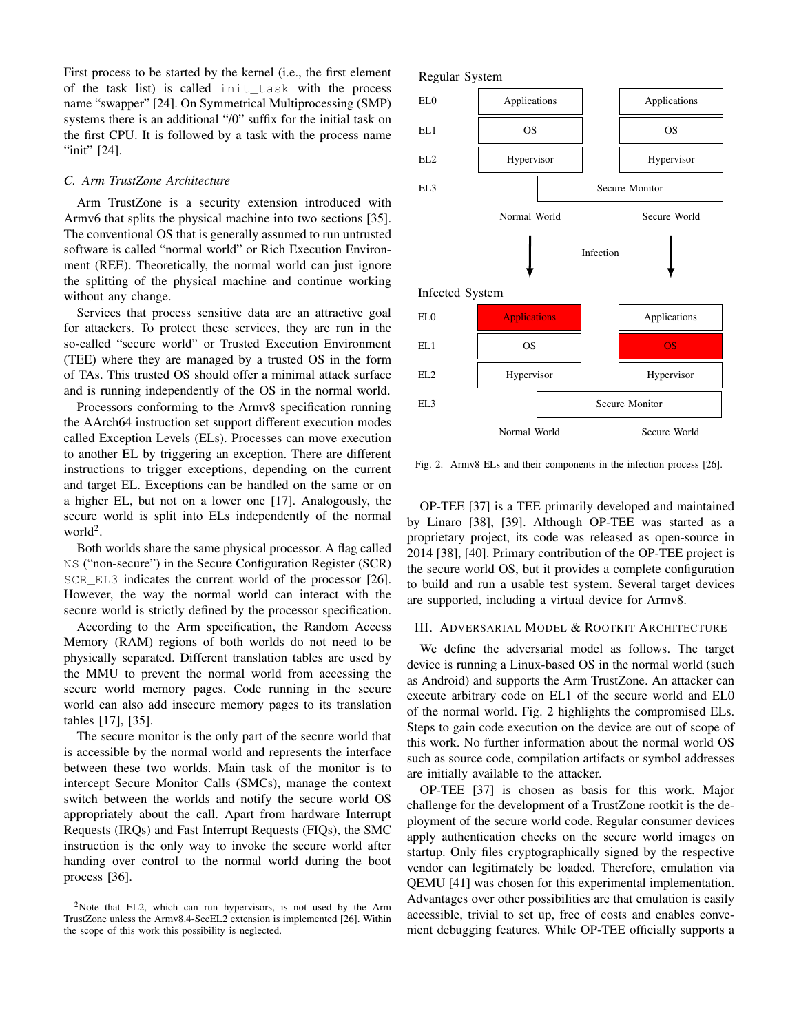First process to be started by the kernel (i.e., the first element of the task list) is called init\_task with the process name "swapper" [24]. On Symmetrical Multiprocessing (SMP) systems there is an additional "/0" suffix for the initial task on the first CPU. It is followed by a task with the process name "init" [24].

## *C. Arm TrustZone Architecture*

Arm TrustZone is a security extension introduced with Armv6 that splits the physical machine into two sections [35]. The conventional OS that is generally assumed to run untrusted software is called "normal world" or Rich Execution Environment (REE). Theoretically, the normal world can just ignore the splitting of the physical machine and continue working without any change.

Services that process sensitive data are an attractive goal for attackers. To protect these services, they are run in the so-called "secure world" or Trusted Execution Environment (TEE) where they are managed by a trusted OS in the form of TAs. This trusted OS should offer a minimal attack surface and is running independently of the OS in the normal world.

Processors conforming to the Armv8 specification running the AArch64 instruction set support different execution modes called Exception Levels (ELs). Processes can move execution to another EL by triggering an exception. There are different instructions to trigger exceptions, depending on the current and target EL. Exceptions can be handled on the same or on a higher EL, but not on a lower one [17]. Analogously, the secure world is split into ELs independently of the normal  $world<sup>2</sup>$ .

Both worlds share the same physical processor. A flag called NS ("non-secure") in the Secure Configuration Register (SCR) SCR\_EL3 indicates the current world of the processor [26]. However, the way the normal world can interact with the secure world is strictly defined by the processor specification.

According to the Arm specification, the Random Access Memory (RAM) regions of both worlds do not need to be physically separated. Different translation tables are used by the MMU to prevent the normal world from accessing the secure world memory pages. Code running in the secure world can also add insecure memory pages to its translation tables [17], [35].

The secure monitor is the only part of the secure world that is accessible by the normal world and represents the interface between these two worlds. Main task of the monitor is to intercept Secure Monitor Calls (SMCs), manage the context switch between the worlds and notify the secure world OS appropriately about the call. Apart from hardware Interrupt Requests (IRQs) and Fast Interrupt Requests (FIQs), the SMC instruction is the only way to invoke the secure world after handing over control to the normal world during the boot process [36].



Fig. 2. Armv8 ELs and their components in the infection process [26].

OP-TEE [37] is a TEE primarily developed and maintained by Linaro [38], [39]. Although OP-TEE was started as a proprietary project, its code was released as open-source in 2014 [38], [40]. Primary contribution of the OP-TEE project is the secure world OS, but it provides a complete configuration to build and run a usable test system. Several target devices are supported, including a virtual device for Armv8.

## III. ADVERSARIAL MODEL & ROOTKIT ARCHITECTURE

We define the adversarial model as follows. The target device is running a Linux-based OS in the normal world (such as Android) and supports the Arm TrustZone. An attacker can execute arbitrary code on EL1 of the secure world and EL0 of the normal world. Fig. 2 highlights the compromised ELs. Steps to gain code execution on the device are out of scope of this work. No further information about the normal world OS such as source code, compilation artifacts or symbol addresses are initially available to the attacker.

OP-TEE [37] is chosen as basis for this work. Major challenge for the development of a TrustZone rootkit is the deployment of the secure world code. Regular consumer devices apply authentication checks on the secure world images on startup. Only files cryptographically signed by the respective vendor can legitimately be loaded. Therefore, emulation via QEMU [41] was chosen for this experimental implementation. Advantages over other possibilities are that emulation is easily accessible, trivial to set up, free of costs and enables convenient debugging features. While OP-TEE officially supports a

<sup>2</sup>Note that EL2, which can run hypervisors, is not used by the Arm TrustZone unless the Armv8.4-SecEL2 extension is implemented [26]. Within the scope of this work this possibility is neglected.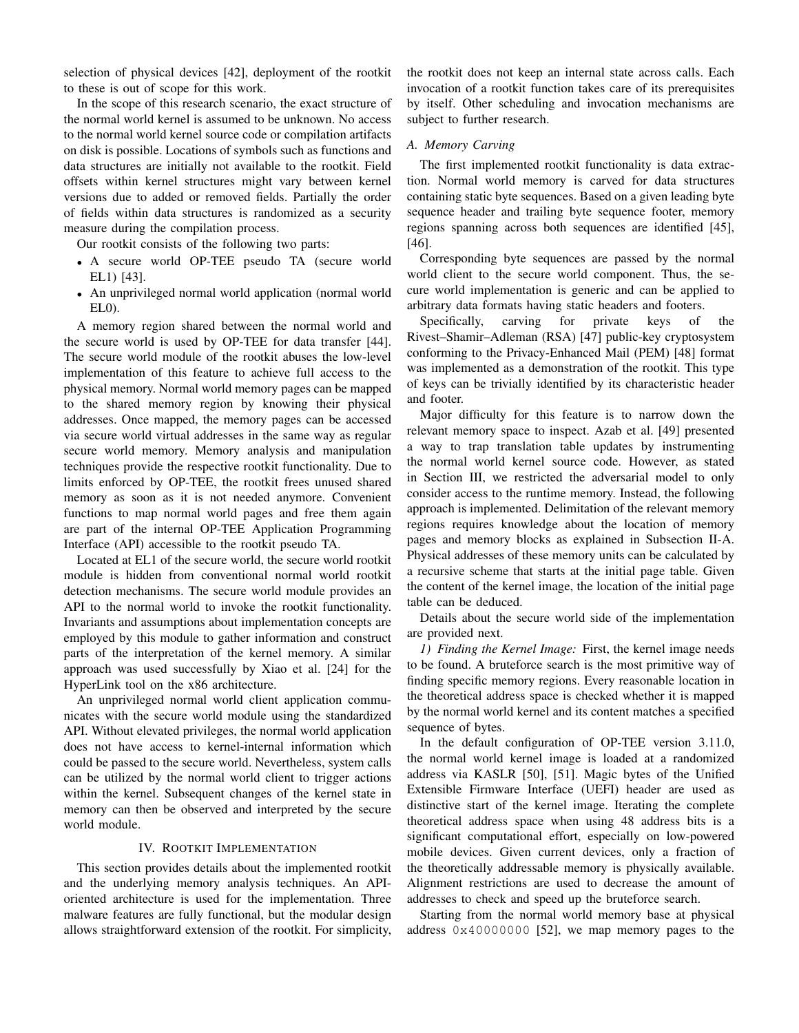selection of physical devices [42], deployment of the rootkit to these is out of scope for this work.

In the scope of this research scenario, the exact structure of the normal world kernel is assumed to be unknown. No access to the normal world kernel source code or compilation artifacts on disk is possible. Locations of symbols such as functions and data structures are initially not available to the rootkit. Field offsets within kernel structures might vary between kernel versions due to added or removed fields. Partially the order of fields within data structures is randomized as a security measure during the compilation process.

Our rootkit consists of the following two parts:

- A secure world OP-TEE pseudo TA (secure world EL1) [43].
- An unprivileged normal world application (normal world EL0).

A memory region shared between the normal world and the secure world is used by OP-TEE for data transfer [44]. The secure world module of the rootkit abuses the low-level implementation of this feature to achieve full access to the physical memory. Normal world memory pages can be mapped to the shared memory region by knowing their physical addresses. Once mapped, the memory pages can be accessed via secure world virtual addresses in the same way as regular secure world memory. Memory analysis and manipulation techniques provide the respective rootkit functionality. Due to limits enforced by OP-TEE, the rootkit frees unused shared memory as soon as it is not needed anymore. Convenient functions to map normal world pages and free them again are part of the internal OP-TEE Application Programming Interface (API) accessible to the rootkit pseudo TA.

Located at EL1 of the secure world, the secure world rootkit module is hidden from conventional normal world rootkit detection mechanisms. The secure world module provides an API to the normal world to invoke the rootkit functionality. Invariants and assumptions about implementation concepts are employed by this module to gather information and construct parts of the interpretation of the kernel memory. A similar approach was used successfully by Xiao et al. [24] for the HyperLink tool on the x86 architecture.

An unprivileged normal world client application communicates with the secure world module using the standardized API. Without elevated privileges, the normal world application does not have access to kernel-internal information which could be passed to the secure world. Nevertheless, system calls can be utilized by the normal world client to trigger actions within the kernel. Subsequent changes of the kernel state in memory can then be observed and interpreted by the secure world module.

## IV. ROOTKIT IMPLEMENTATION

This section provides details about the implemented rootkit and the underlying memory analysis techniques. An APIoriented architecture is used for the implementation. Three malware features are fully functional, but the modular design allows straightforward extension of the rootkit. For simplicity, the rootkit does not keep an internal state across calls. Each invocation of a rootkit function takes care of its prerequisites by itself. Other scheduling and invocation mechanisms are subject to further research.

## *A. Memory Carving*

The first implemented rootkit functionality is data extraction. Normal world memory is carved for data structures containing static byte sequences. Based on a given leading byte sequence header and trailing byte sequence footer, memory regions spanning across both sequences are identified [45], [46].

Corresponding byte sequences are passed by the normal world client to the secure world component. Thus, the secure world implementation is generic and can be applied to arbitrary data formats having static headers and footers.

Specifically, carving for private keys of the Rivest–Shamir–Adleman (RSA) [47] public-key cryptosystem conforming to the Privacy-Enhanced Mail (PEM) [48] format was implemented as a demonstration of the rootkit. This type of keys can be trivially identified by its characteristic header and footer.

Major difficulty for this feature is to narrow down the relevant memory space to inspect. Azab et al. [49] presented a way to trap translation table updates by instrumenting the normal world kernel source code. However, as stated in Section III, we restricted the adversarial model to only consider access to the runtime memory. Instead, the following approach is implemented. Delimitation of the relevant memory regions requires knowledge about the location of memory pages and memory blocks as explained in Subsection II-A. Physical addresses of these memory units can be calculated by a recursive scheme that starts at the initial page table. Given the content of the kernel image, the location of the initial page table can be deduced.

Details about the secure world side of the implementation are provided next.

*1) Finding the Kernel Image:* First, the kernel image needs to be found. A bruteforce search is the most primitive way of finding specific memory regions. Every reasonable location in the theoretical address space is checked whether it is mapped by the normal world kernel and its content matches a specified sequence of bytes.

In the default configuration of OP-TEE version 3.11.0, the normal world kernel image is loaded at a randomized address via KASLR [50], [51]. Magic bytes of the Unified Extensible Firmware Interface (UEFI) header are used as distinctive start of the kernel image. Iterating the complete theoretical address space when using 48 address bits is a significant computational effort, especially on low-powered mobile devices. Given current devices, only a fraction of the theoretically addressable memory is physically available. Alignment restrictions are used to decrease the amount of addresses to check and speed up the bruteforce search.

Starting from the normal world memory base at physical address 0x40000000 [52], we map memory pages to the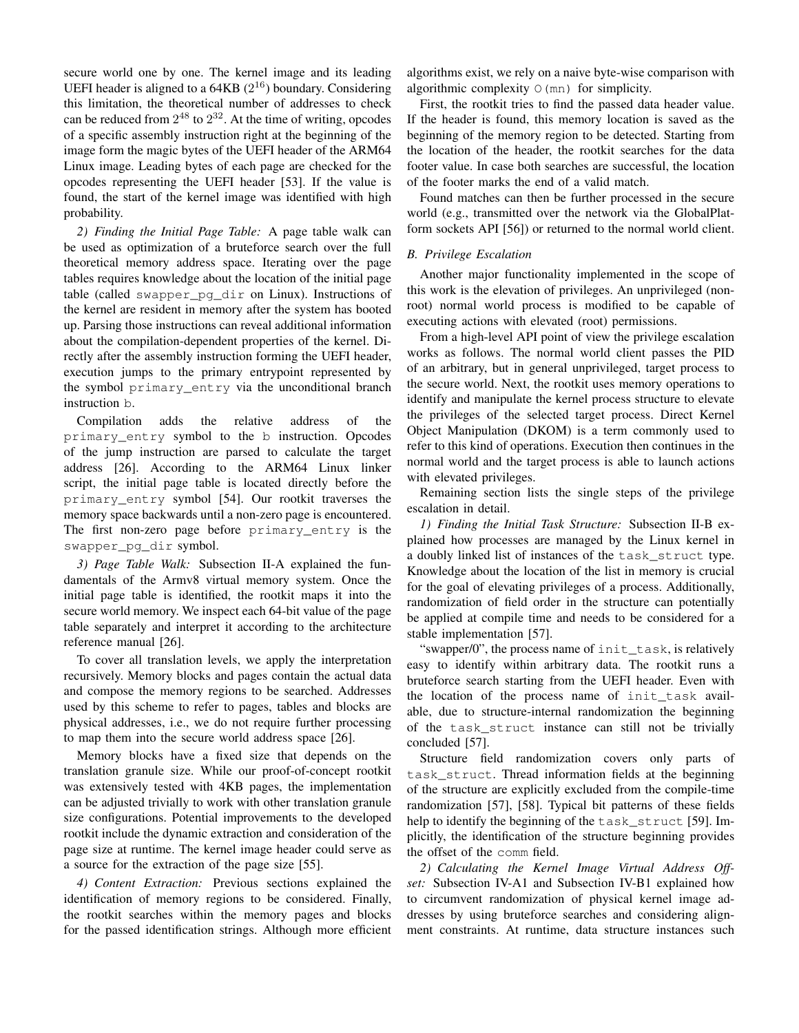secure world one by one. The kernel image and its leading UEFI header is aligned to a  $64KB$  ( $2^{16}$ ) boundary. Considering this limitation, the theoretical number of addresses to check can be reduced from  $2^{48}$  to  $2^{32}$ . At the time of writing, opcodes of a specific assembly instruction right at the beginning of the image form the magic bytes of the UEFI header of the ARM64 Linux image. Leading bytes of each page are checked for the opcodes representing the UEFI header [53]. If the value is found, the start of the kernel image was identified with high probability.

*2) Finding the Initial Page Table:* A page table walk can be used as optimization of a bruteforce search over the full theoretical memory address space. Iterating over the page tables requires knowledge about the location of the initial page table (called swapper\_pg\_dir on Linux). Instructions of the kernel are resident in memory after the system has booted up. Parsing those instructions can reveal additional information about the compilation-dependent properties of the kernel. Directly after the assembly instruction forming the UEFI header, execution jumps to the primary entrypoint represented by the symbol primary\_entry via the unconditional branch instruction b.

Compilation adds the relative address of the primary\_entry symbol to the b instruction. Opcodes of the jump instruction are parsed to calculate the target address [26]. According to the ARM64 Linux linker script, the initial page table is located directly before the primary\_entry symbol [54]. Our rootkit traverses the memory space backwards until a non-zero page is encountered. The first non-zero page before primary entry is the swapper\_pg\_dir symbol.

*3) Page Table Walk:* Subsection II-A explained the fundamentals of the Armv8 virtual memory system. Once the initial page table is identified, the rootkit maps it into the secure world memory. We inspect each 64-bit value of the page table separately and interpret it according to the architecture reference manual [26].

To cover all translation levels, we apply the interpretation recursively. Memory blocks and pages contain the actual data and compose the memory regions to be searched. Addresses used by this scheme to refer to pages, tables and blocks are physical addresses, i.e., we do not require further processing to map them into the secure world address space [26].

Memory blocks have a fixed size that depends on the translation granule size. While our proof-of-concept rootkit was extensively tested with 4KB pages, the implementation can be adjusted trivially to work with other translation granule size configurations. Potential improvements to the developed rootkit include the dynamic extraction and consideration of the page size at runtime. The kernel image header could serve as a source for the extraction of the page size [55].

*4) Content Extraction:* Previous sections explained the identification of memory regions to be considered. Finally, the rootkit searches within the memory pages and blocks for the passed identification strings. Although more efficient

algorithms exist, we rely on a naive byte-wise comparison with algorithmic complexity  $O(mn)$  for simplicity.

First, the rootkit tries to find the passed data header value. If the header is found, this memory location is saved as the beginning of the memory region to be detected. Starting from the location of the header, the rootkit searches for the data footer value. In case both searches are successful, the location of the footer marks the end of a valid match.

Found matches can then be further processed in the secure world (e.g., transmitted over the network via the GlobalPlatform sockets API [56]) or returned to the normal world client.

# *B. Privilege Escalation*

Another major functionality implemented in the scope of this work is the elevation of privileges. An unprivileged (nonroot) normal world process is modified to be capable of executing actions with elevated (root) permissions.

From a high-level API point of view the privilege escalation works as follows. The normal world client passes the PID of an arbitrary, but in general unprivileged, target process to the secure world. Next, the rootkit uses memory operations to identify and manipulate the kernel process structure to elevate the privileges of the selected target process. Direct Kernel Object Manipulation (DKOM) is a term commonly used to refer to this kind of operations. Execution then continues in the normal world and the target process is able to launch actions with elevated privileges.

Remaining section lists the single steps of the privilege escalation in detail.

*1) Finding the Initial Task Structure:* Subsection II-B explained how processes are managed by the Linux kernel in a doubly linked list of instances of the task\_struct type. Knowledge about the location of the list in memory is crucial for the goal of elevating privileges of a process. Additionally, randomization of field order in the structure can potentially be applied at compile time and needs to be considered for a stable implementation [57].

"swapper/0", the process name of init task, is relatively easy to identify within arbitrary data. The rootkit runs a bruteforce search starting from the UEFI header. Even with the location of the process name of init\_task available, due to structure-internal randomization the beginning of the task\_struct instance can still not be trivially concluded [57].

Structure field randomization covers only parts of task\_struct. Thread information fields at the beginning of the structure are explicitly excluded from the compile-time randomization [57], [58]. Typical bit patterns of these fields help to identify the beginning of the task\_struct [59]. Implicitly, the identification of the structure beginning provides the offset of the comm field.

*2) Calculating the Kernel Image Virtual Address Offset:* Subsection IV-A1 and Subsection IV-B1 explained how to circumvent randomization of physical kernel image addresses by using bruteforce searches and considering alignment constraints. At runtime, data structure instances such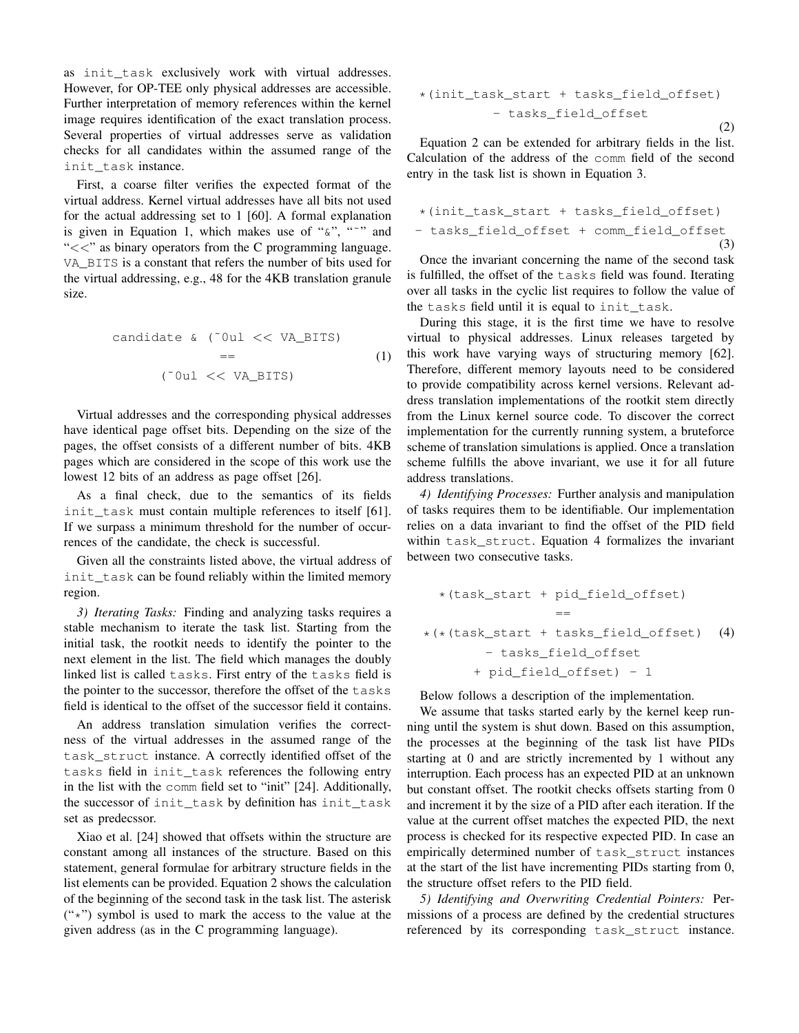as init\_task exclusively work with virtual addresses. However, for OP-TEE only physical addresses are accessible. Further interpretation of memory references within the kernel image requires identification of the exact translation process. Several properties of virtual addresses serve as validation checks for all candidates within the assumed range of the init\_task instance.

First, a coarse filter verifies the expected format of the virtual address. Kernel virtual addresses have all bits not used for the actual addressing set to 1 [60]. A formal explanation is given in Equation 1, which makes use of " $\alpha$ ", " $\gamma$ " and " $<<$ " as binary operators from the C programming language. VA\_BITS is a constant that refers the number of bits used for the virtual addressing, e.g., 48 for the 4KB translation granule size.

\n
$$
\text{candidate } \& \text{ (}^\circ \text{0ul} << \text{VA\_BITS)}
$$
\n  
\n $=$ \n  
\n \quad \text{(}^\circ \text{0ul} << \text{VA\\_BITS)}\n  
\n \quad \text{(}^\circ \text{0ul} << \text{VA\\_BITS})\n

Virtual addresses and the corresponding physical addresses have identical page offset bits. Depending on the size of the pages, the offset consists of a different number of bits. 4KB pages which are considered in the scope of this work use the lowest 12 bits of an address as page offset [26].

As a final check, due to the semantics of its fields init task must contain multiple references to itself [61]. If we surpass a minimum threshold for the number of occurrences of the candidate, the check is successful.

Given all the constraints listed above, the virtual address of init\_task can be found reliably within the limited memory region.

*3) Iterating Tasks:* Finding and analyzing tasks requires a stable mechanism to iterate the task list. Starting from the initial task, the rootkit needs to identify the pointer to the next element in the list. The field which manages the doubly linked list is called tasks. First entry of the tasks field is the pointer to the successor, therefore the offset of the tasks field is identical to the offset of the successor field it contains.

An address translation simulation verifies the correctness of the virtual addresses in the assumed range of the task\_struct instance. A correctly identified offset of the tasks field in init\_task references the following entry in the list with the comm field set to "init" [24]. Additionally, the successor of init\_task by definition has init\_task set as predecssor.

Xiao et al. [24] showed that offsets within the structure are constant among all instances of the structure. Based on this statement, general formulae for arbitrary structure fields in the list elements can be provided. Equation 2 shows the calculation of the beginning of the second task in the task list. The asterisk  $("*)$  symbol is used to mark the access to the value at the given address (as in the C programming language).

\*(init\_task\_start + tasks\_field\_offset) - tasks\_field\_offset (2)

Equation 2 can be extended for arbitrary fields in the list. Calculation of the address of the comm field of the second entry in the task list is shown in Equation 3.

\*(init\_task\_start + tasks\_field\_offset) - tasks\_field\_offset + comm\_field\_offset (3)

Once the invariant concerning the name of the second task is fulfilled, the offset of the tasks field was found. Iterating over all tasks in the cyclic list requires to follow the value of the tasks field until it is equal to init\_task.

During this stage, it is the first time we have to resolve virtual to physical addresses. Linux releases targeted by this work have varying ways of structuring memory [62]. Therefore, different memory layouts need to be considered to provide compatibility across kernel versions. Relevant address translation implementations of the rootkit stem directly from the Linux kernel source code. To discover the correct implementation for the currently running system, a bruteforce scheme of translation simulations is applied. Once a translation scheme fulfills the above invariant, we use it for all future address translations.

*4) Identifying Processes:* Further analysis and manipulation of tasks requires them to be identifiable. Our implementation relies on a data invariant to find the offset of the PID field within task struct. Equation 4 formalizes the invariant between two consecutive tasks.

\*(task\_start + pid\_field\_offset) == \*(\*(task\_start + tasks\_field\_offset) - tasks\_field\_offset + pid\_field\_offset) - 1 (4)

Below follows a description of the implementation.

We assume that tasks started early by the kernel keep running until the system is shut down. Based on this assumption, the processes at the beginning of the task list have PIDs starting at 0 and are strictly incremented by 1 without any interruption. Each process has an expected PID at an unknown but constant offset. The rootkit checks offsets starting from 0 and increment it by the size of a PID after each iteration. If the value at the current offset matches the expected PID, the next process is checked for its respective expected PID. In case an empirically determined number of task\_struct instances at the start of the list have incrementing PIDs starting from 0, the structure offset refers to the PID field.

*5) Identifying and Overwriting Credential Pointers:* Permissions of a process are defined by the credential structures referenced by its corresponding task\_struct instance.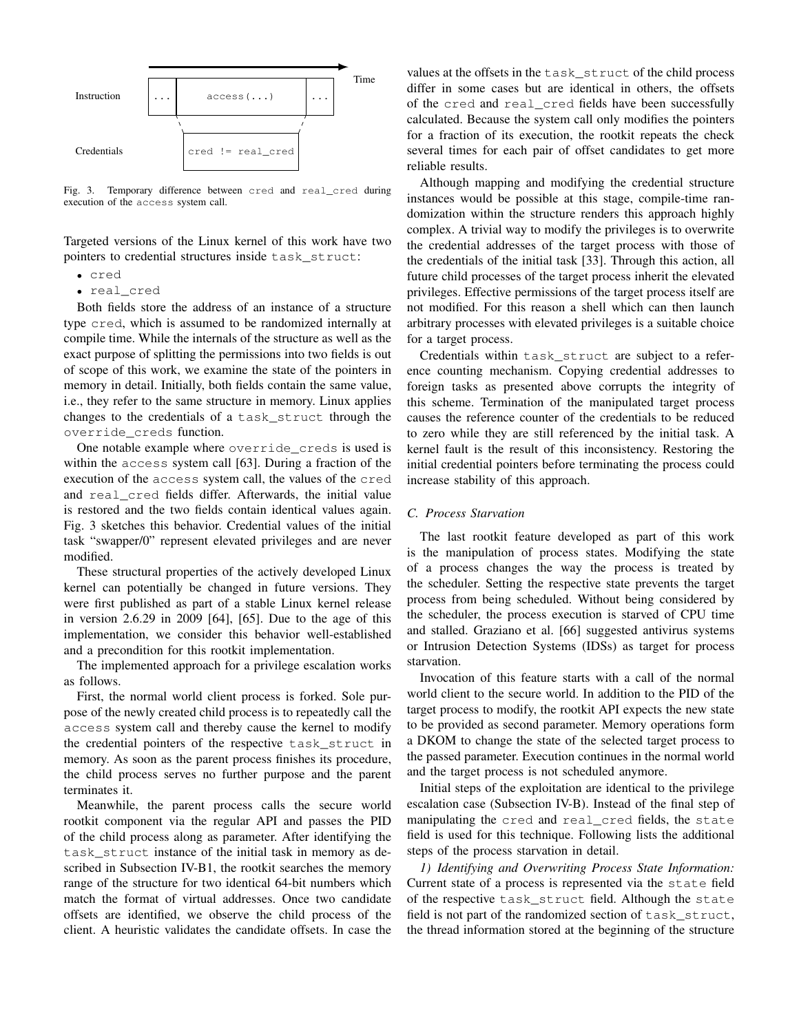

Fig. 3. Temporary difference between cred and real\_cred during execution of the access system call.

Targeted versions of the Linux kernel of this work have two pointers to credential structures inside task\_struct:

- cred
- real\_cred

Both fields store the address of an instance of a structure type cred, which is assumed to be randomized internally at compile time. While the internals of the structure as well as the exact purpose of splitting the permissions into two fields is out of scope of this work, we examine the state of the pointers in memory in detail. Initially, both fields contain the same value, i.e., they refer to the same structure in memory. Linux applies changes to the credentials of a task\_struct through the override\_creds function.

One notable example where override\_creds is used is within the access system call [63]. During a fraction of the execution of the access system call, the values of the cred and real\_cred fields differ. Afterwards, the initial value is restored and the two fields contain identical values again. Fig. 3 sketches this behavior. Credential values of the initial task "swapper/0" represent elevated privileges and are never modified.

These structural properties of the actively developed Linux kernel can potentially be changed in future versions. They were first published as part of a stable Linux kernel release in version 2.6.29 in 2009 [64], [65]. Due to the age of this implementation, we consider this behavior well-established and a precondition for this rootkit implementation.

The implemented approach for a privilege escalation works as follows.

First, the normal world client process is forked. Sole purpose of the newly created child process is to repeatedly call the access system call and thereby cause the kernel to modify the credential pointers of the respective task\_struct in memory. As soon as the parent process finishes its procedure, the child process serves no further purpose and the parent terminates it.

Meanwhile, the parent process calls the secure world rootkit component via the regular API and passes the PID of the child process along as parameter. After identifying the task\_struct instance of the initial task in memory as described in Subsection IV-B1, the rootkit searches the memory range of the structure for two identical 64-bit numbers which match the format of virtual addresses. Once two candidate offsets are identified, we observe the child process of the client. A heuristic validates the candidate offsets. In case the values at the offsets in the task\_struct of the child process differ in some cases but are identical in others, the offsets of the cred and real\_cred fields have been successfully calculated. Because the system call only modifies the pointers for a fraction of its execution, the rootkit repeats the check several times for each pair of offset candidates to get more reliable results.

Although mapping and modifying the credential structure instances would be possible at this stage, compile-time randomization within the structure renders this approach highly complex. A trivial way to modify the privileges is to overwrite the credential addresses of the target process with those of the credentials of the initial task [33]. Through this action, all future child processes of the target process inherit the elevated privileges. Effective permissions of the target process itself are not modified. For this reason a shell which can then launch arbitrary processes with elevated privileges is a suitable choice for a target process.

Credentials within task\_struct are subject to a reference counting mechanism. Copying credential addresses to foreign tasks as presented above corrupts the integrity of this scheme. Termination of the manipulated target process causes the reference counter of the credentials to be reduced to zero while they are still referenced by the initial task. A kernel fault is the result of this inconsistency. Restoring the initial credential pointers before terminating the process could increase stability of this approach.

## *C. Process Starvation*

The last rootkit feature developed as part of this work is the manipulation of process states. Modifying the state of a process changes the way the process is treated by the scheduler. Setting the respective state prevents the target process from being scheduled. Without being considered by the scheduler, the process execution is starved of CPU time and stalled. Graziano et al. [66] suggested antivirus systems or Intrusion Detection Systems (IDSs) as target for process starvation.

Invocation of this feature starts with a call of the normal world client to the secure world. In addition to the PID of the target process to modify, the rootkit API expects the new state to be provided as second parameter. Memory operations form a DKOM to change the state of the selected target process to the passed parameter. Execution continues in the normal world and the target process is not scheduled anymore.

Initial steps of the exploitation are identical to the privilege escalation case (Subsection IV-B). Instead of the final step of manipulating the cred and real\_cred fields, the state field is used for this technique. Following lists the additional steps of the process starvation in detail.

*1) Identifying and Overwriting Process State Information:* Current state of a process is represented via the state field of the respective task\_struct field. Although the state field is not part of the randomized section of task\_struct, the thread information stored at the beginning of the structure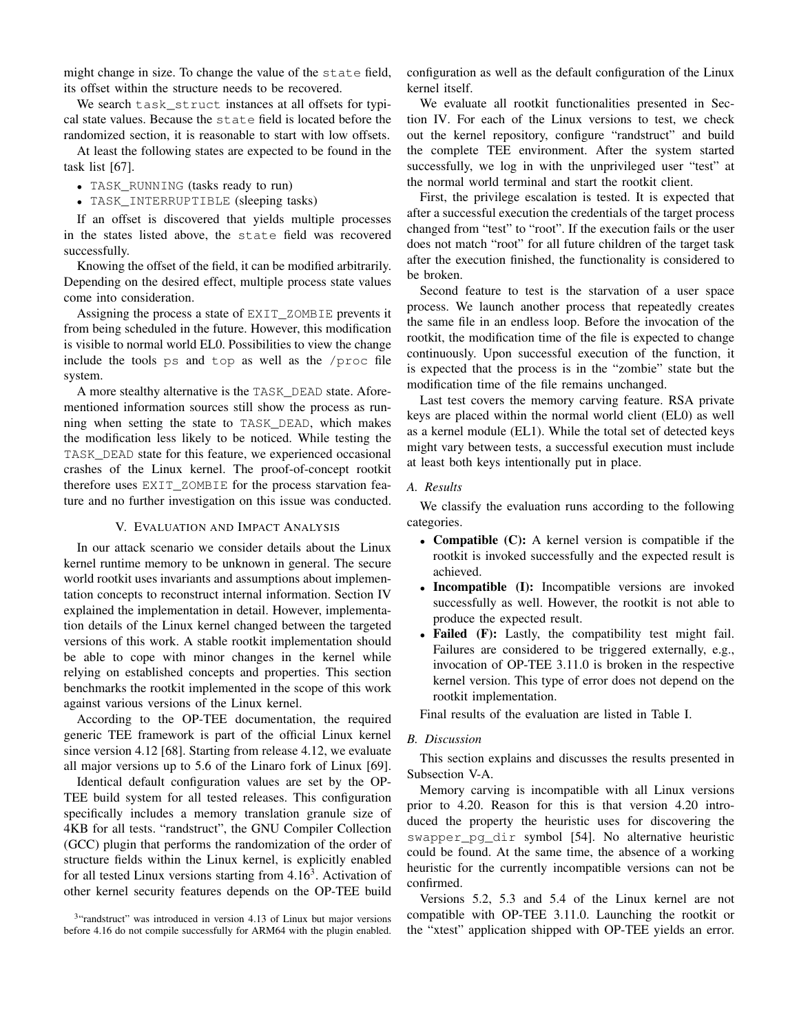might change in size. To change the value of the state field, its offset within the structure needs to be recovered.

We search task\_struct instances at all offsets for typical state values. Because the state field is located before the randomized section, it is reasonable to start with low offsets.

At least the following states are expected to be found in the task list [67].

- TASK\_RUNNING (tasks ready to run)
- TASK\_INTERRUPTIBLE (sleeping tasks)

If an offset is discovered that yields multiple processes in the states listed above, the state field was recovered successfully.

Knowing the offset of the field, it can be modified arbitrarily. Depending on the desired effect, multiple process state values come into consideration.

Assigning the process a state of EXIT\_ZOMBIE prevents it from being scheduled in the future. However, this modification is visible to normal world EL0. Possibilities to view the change include the tools ps and top as well as the /proc file system.

A more stealthy alternative is the TASK\_DEAD state. Aforementioned information sources still show the process as running when setting the state to TASK\_DEAD, which makes the modification less likely to be noticed. While testing the TASK\_DEAD state for this feature, we experienced occasional crashes of the Linux kernel. The proof-of-concept rootkit therefore uses EXIT\_ZOMBIE for the process starvation feature and no further investigation on this issue was conducted.

## V. EVALUATION AND IMPACT ANALYSIS

In our attack scenario we consider details about the Linux kernel runtime memory to be unknown in general. The secure world rootkit uses invariants and assumptions about implementation concepts to reconstruct internal information. Section IV explained the implementation in detail. However, implementation details of the Linux kernel changed between the targeted versions of this work. A stable rootkit implementation should be able to cope with minor changes in the kernel while relying on established concepts and properties. This section benchmarks the rootkit implemented in the scope of this work against various versions of the Linux kernel.

According to the OP-TEE documentation, the required generic TEE framework is part of the official Linux kernel since version 4.12 [68]. Starting from release 4.12, we evaluate all major versions up to 5.6 of the Linaro fork of Linux [69].

Identical default configuration values are set by the OP-TEE build system for all tested releases. This configuration specifically includes a memory translation granule size of 4KB for all tests. "randstruct", the GNU Compiler Collection (GCC) plugin that performs the randomization of the order of structure fields within the Linux kernel, is explicitly enabled for all tested Linux versions starting from  $4.16<sup>3</sup>$ . Activation of other kernel security features depends on the OP-TEE build

configuration as well as the default configuration of the Linux kernel itself.

We evaluate all rootkit functionalities presented in Section IV. For each of the Linux versions to test, we check out the kernel repository, configure "randstruct" and build the complete TEE environment. After the system started successfully, we log in with the unprivileged user "test" at the normal world terminal and start the rootkit client.

First, the privilege escalation is tested. It is expected that after a successful execution the credentials of the target process changed from "test" to "root". If the execution fails or the user does not match "root" for all future children of the target task after the execution finished, the functionality is considered to be broken.

Second feature to test is the starvation of a user space process. We launch another process that repeatedly creates the same file in an endless loop. Before the invocation of the rootkit, the modification time of the file is expected to change continuously. Upon successful execution of the function, it is expected that the process is in the "zombie" state but the modification time of the file remains unchanged.

Last test covers the memory carving feature. RSA private keys are placed within the normal world client (EL0) as well as a kernel module (EL1). While the total set of detected keys might vary between tests, a successful execution must include at least both keys intentionally put in place.

#### *A. Results*

We classify the evaluation runs according to the following categories.

- Compatible (C): A kernel version is compatible if the rootkit is invoked successfully and the expected result is achieved.
- Incompatible (I): Incompatible versions are invoked successfully as well. However, the rootkit is not able to produce the expected result.
- Failed (F): Lastly, the compatibility test might fail. Failures are considered to be triggered externally, e.g., invocation of OP-TEE 3.11.0 is broken in the respective kernel version. This type of error does not depend on the rootkit implementation.

Final results of the evaluation are listed in Table I.

#### *B. Discussion*

This section explains and discusses the results presented in Subsection V-A.

Memory carving is incompatible with all Linux versions prior to 4.20. Reason for this is that version 4.20 introduced the property the heuristic uses for discovering the swapper\_pg\_dir symbol [54]. No alternative heuristic could be found. At the same time, the absence of a working heuristic for the currently incompatible versions can not be confirmed.

Versions 5.2, 5.3 and 5.4 of the Linux kernel are not compatible with OP-TEE 3.11.0. Launching the rootkit or the "xtest" application shipped with OP-TEE yields an error.

<sup>&</sup>lt;sup>3</sup>"randstruct" was introduced in version 4.13 of Linux but major versions before 4.16 do not compile successfully for ARM64 with the plugin enabled.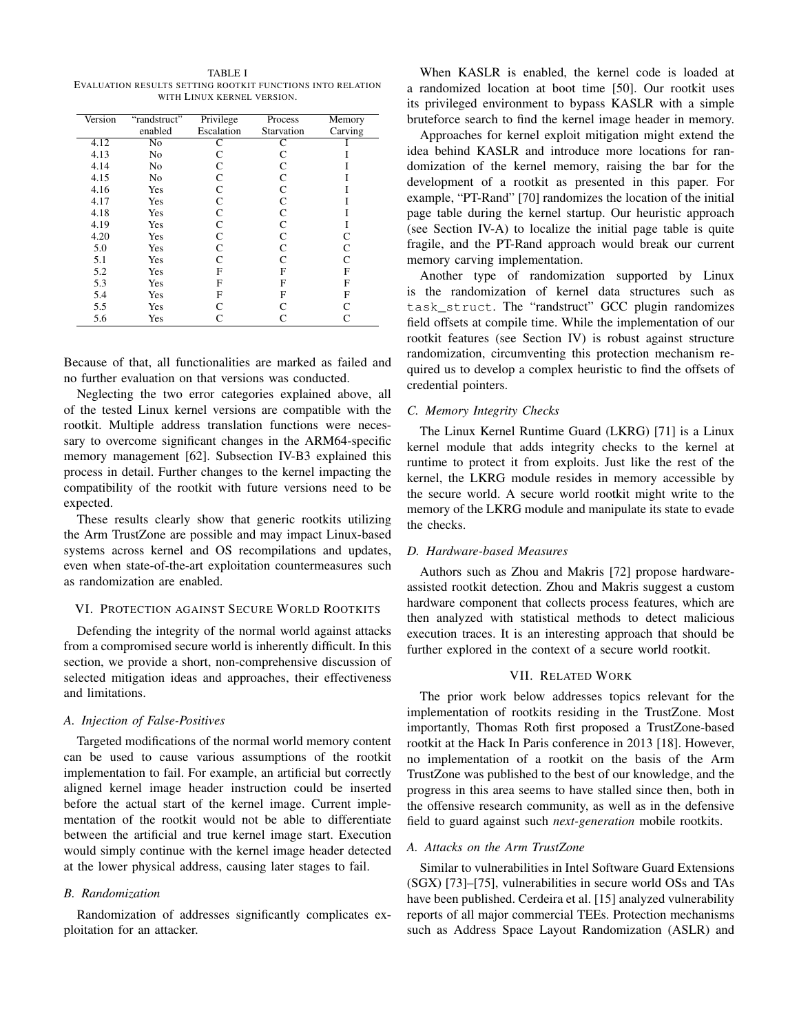TABLE I EVALUATION RESULTS SETTING ROOTKIT FUNCTIONS INTO RELATION WITH LINUX KERNEL VERSION.

| Version | "randstruct"   | Privilege         | Process    | Memory       |
|---------|----------------|-------------------|------------|--------------|
|         | enabled        | Escalation        | Starvation | Carving      |
| 4.12    | No             | С                 | C          |              |
| 4.13    | N <sub>0</sub> | C                 | C          |              |
| 4.14    | N <sub>0</sub> | C                 | C          |              |
| 4.15    | No             | C                 | C          |              |
| 4.16    | Yes            | C                 | C          |              |
| 4.17    | Yes            | C                 | C          |              |
| 4.18    | Yes            | C                 | C          |              |
| 4.19    | Yes            | C                 | C          |              |
| 4.20    | Yes            | C                 | C          | C            |
| 5.0     | Yes            | C                 | C          | C            |
| 5.1     | Yes            | C                 | C          | C            |
| 5.2     | Yes            | F                 | F          | F            |
| 5.3     | Yes            | F                 | F          | F            |
| 5.4     | Yes            | F                 | F          | F            |
| 5.5     | Yes            | $\mathsf{\Gamma}$ |            | $\mathsf{C}$ |
| 5.6     | Yes            |                   |            | C            |

Because of that, all functionalities are marked as failed and no further evaluation on that versions was conducted.

Neglecting the two error categories explained above, all of the tested Linux kernel versions are compatible with the rootkit. Multiple address translation functions were necessary to overcome significant changes in the ARM64-specific memory management [62]. Subsection IV-B3 explained this process in detail. Further changes to the kernel impacting the compatibility of the rootkit with future versions need to be expected.

These results clearly show that generic rootkits utilizing the Arm TrustZone are possible and may impact Linux-based systems across kernel and OS recompilations and updates, even when state-of-the-art exploitation countermeasures such as randomization are enabled.

#### VI. PROTECTION AGAINST SECURE WORLD ROOTKITS

Defending the integrity of the normal world against attacks from a compromised secure world is inherently difficult. In this section, we provide a short, non-comprehensive discussion of selected mitigation ideas and approaches, their effectiveness and limitations.

## *A. Injection of False-Positives*

Targeted modifications of the normal world memory content can be used to cause various assumptions of the rootkit implementation to fail. For example, an artificial but correctly aligned kernel image header instruction could be inserted before the actual start of the kernel image. Current implementation of the rootkit would not be able to differentiate between the artificial and true kernel image start. Execution would simply continue with the kernel image header detected at the lower physical address, causing later stages to fail.

## *B. Randomization*

Randomization of addresses significantly complicates exploitation for an attacker.

When KASLR is enabled, the kernel code is loaded at a randomized location at boot time [50]. Our rootkit uses its privileged environment to bypass KASLR with a simple bruteforce search to find the kernel image header in memory.

Approaches for kernel exploit mitigation might extend the idea behind KASLR and introduce more locations for randomization of the kernel memory, raising the bar for the development of a rootkit as presented in this paper. For example, "PT-Rand" [70] randomizes the location of the initial page table during the kernel startup. Our heuristic approach (see Section IV-A) to localize the initial page table is quite fragile, and the PT-Rand approach would break our current memory carving implementation.

Another type of randomization supported by Linux is the randomization of kernel data structures such as task\_struct. The "randstruct" GCC plugin randomizes field offsets at compile time. While the implementation of our rootkit features (see Section IV) is robust against structure randomization, circumventing this protection mechanism required us to develop a complex heuristic to find the offsets of credential pointers.

## *C. Memory Integrity Checks*

The Linux Kernel Runtime Guard (LKRG) [71] is a Linux kernel module that adds integrity checks to the kernel at runtime to protect it from exploits. Just like the rest of the kernel, the LKRG module resides in memory accessible by the secure world. A secure world rootkit might write to the memory of the LKRG module and manipulate its state to evade the checks.

## *D. Hardware-based Measures*

Authors such as Zhou and Makris [72] propose hardwareassisted rootkit detection. Zhou and Makris suggest a custom hardware component that collects process features, which are then analyzed with statistical methods to detect malicious execution traces. It is an interesting approach that should be further explored in the context of a secure world rootkit.

# VII. RELATED WORK

The prior work below addresses topics relevant for the implementation of rootkits residing in the TrustZone. Most importantly, Thomas Roth first proposed a TrustZone-based rootkit at the Hack In Paris conference in 2013 [18]. However, no implementation of a rootkit on the basis of the Arm TrustZone was published to the best of our knowledge, and the progress in this area seems to have stalled since then, both in the offensive research community, as well as in the defensive field to guard against such *next-generation* mobile rootkits.

# *A. Attacks on the Arm TrustZone*

Similar to vulnerabilities in Intel Software Guard Extensions (SGX) [73]–[75], vulnerabilities in secure world OSs and TAs have been published. Cerdeira et al. [15] analyzed vulnerability reports of all major commercial TEEs. Protection mechanisms such as Address Space Layout Randomization (ASLR) and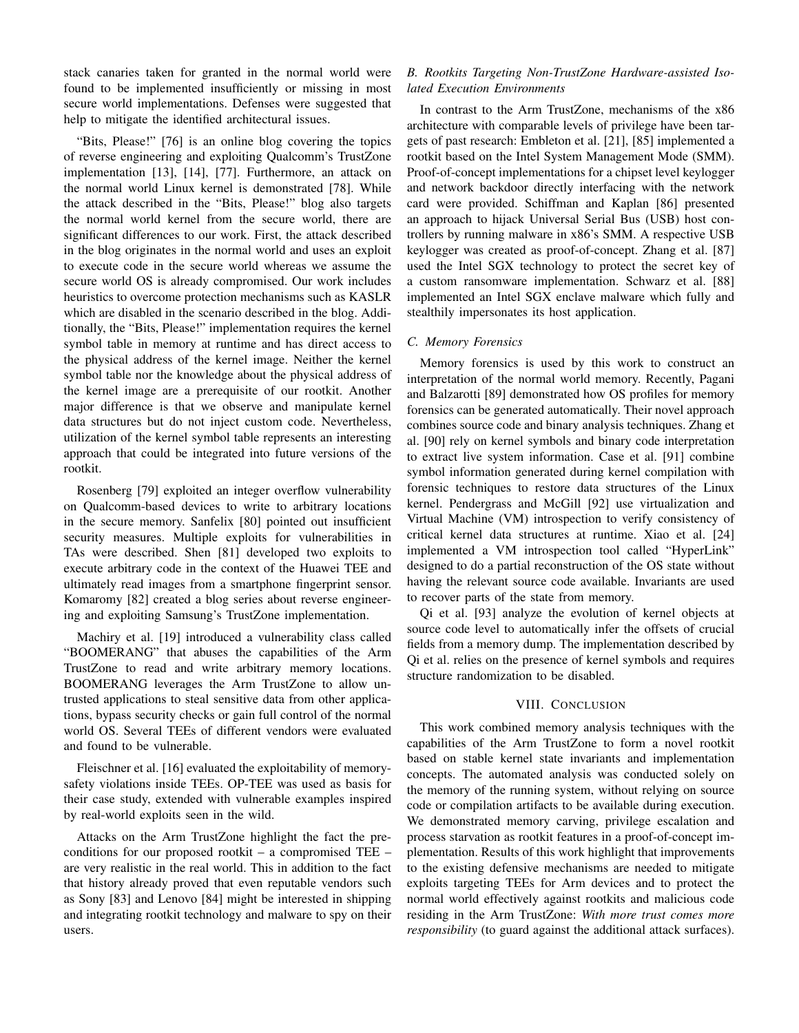stack canaries taken for granted in the normal world were found to be implemented insufficiently or missing in most secure world implementations. Defenses were suggested that help to mitigate the identified architectural issues.

"Bits, Please!" [76] is an online blog covering the topics of reverse engineering and exploiting Qualcomm's TrustZone implementation [13], [14], [77]. Furthermore, an attack on the normal world Linux kernel is demonstrated [78]. While the attack described in the "Bits, Please!" blog also targets the normal world kernel from the secure world, there are significant differences to our work. First, the attack described in the blog originates in the normal world and uses an exploit to execute code in the secure world whereas we assume the secure world OS is already compromised. Our work includes heuristics to overcome protection mechanisms such as KASLR which are disabled in the scenario described in the blog. Additionally, the "Bits, Please!" implementation requires the kernel symbol table in memory at runtime and has direct access to the physical address of the kernel image. Neither the kernel symbol table nor the knowledge about the physical address of the kernel image are a prerequisite of our rootkit. Another major difference is that we observe and manipulate kernel data structures but do not inject custom code. Nevertheless, utilization of the kernel symbol table represents an interesting approach that could be integrated into future versions of the rootkit.

Rosenberg [79] exploited an integer overflow vulnerability on Qualcomm-based devices to write to arbitrary locations in the secure memory. Sanfelix [80] pointed out insufficient security measures. Multiple exploits for vulnerabilities in TAs were described. Shen [81] developed two exploits to execute arbitrary code in the context of the Huawei TEE and ultimately read images from a smartphone fingerprint sensor. Komaromy [82] created a blog series about reverse engineering and exploiting Samsung's TrustZone implementation.

Machiry et al. [19] introduced a vulnerability class called "BOOMERANG" that abuses the capabilities of the Arm TrustZone to read and write arbitrary memory locations. BOOMERANG leverages the Arm TrustZone to allow untrusted applications to steal sensitive data from other applications, bypass security checks or gain full control of the normal world OS. Several TEEs of different vendors were evaluated and found to be vulnerable.

Fleischner et al. [16] evaluated the exploitability of memorysafety violations inside TEEs. OP-TEE was used as basis for their case study, extended with vulnerable examples inspired by real-world exploits seen in the wild.

Attacks on the Arm TrustZone highlight the fact the preconditions for our proposed rootkit – a compromised TEE – are very realistic in the real world. This in addition to the fact that history already proved that even reputable vendors such as Sony [83] and Lenovo [84] might be interested in shipping and integrating rootkit technology and malware to spy on their users.

# *B. Rootkits Targeting Non-TrustZone Hardware-assisted Isolated Execution Environments*

In contrast to the Arm TrustZone, mechanisms of the x86 architecture with comparable levels of privilege have been targets of past research: Embleton et al. [21], [85] implemented a rootkit based on the Intel System Management Mode (SMM). Proof-of-concept implementations for a chipset level keylogger and network backdoor directly interfacing with the network card were provided. Schiffman and Kaplan [86] presented an approach to hijack Universal Serial Bus (USB) host controllers by running malware in x86's SMM. A respective USB keylogger was created as proof-of-concept. Zhang et al. [87] used the Intel SGX technology to protect the secret key of a custom ransomware implementation. Schwarz et al. [88] implemented an Intel SGX enclave malware which fully and stealthily impersonates its host application.

# *C. Memory Forensics*

Memory forensics is used by this work to construct an interpretation of the normal world memory. Recently, Pagani and Balzarotti [89] demonstrated how OS profiles for memory forensics can be generated automatically. Their novel approach combines source code and binary analysis techniques. Zhang et al. [90] rely on kernel symbols and binary code interpretation to extract live system information. Case et al. [91] combine symbol information generated during kernel compilation with forensic techniques to restore data structures of the Linux kernel. Pendergrass and McGill [92] use virtualization and Virtual Machine (VM) introspection to verify consistency of critical kernel data structures at runtime. Xiao et al. [24] implemented a VM introspection tool called "HyperLink" designed to do a partial reconstruction of the OS state without having the relevant source code available. Invariants are used to recover parts of the state from memory.

Qi et al. [93] analyze the evolution of kernel objects at source code level to automatically infer the offsets of crucial fields from a memory dump. The implementation described by Qi et al. relies on the presence of kernel symbols and requires structure randomization to be disabled.

#### VIII. CONCLUSION

This work combined memory analysis techniques with the capabilities of the Arm TrustZone to form a novel rootkit based on stable kernel state invariants and implementation concepts. The automated analysis was conducted solely on the memory of the running system, without relying on source code or compilation artifacts to be available during execution. We demonstrated memory carving, privilege escalation and process starvation as rootkit features in a proof-of-concept implementation. Results of this work highlight that improvements to the existing defensive mechanisms are needed to mitigate exploits targeting TEEs for Arm devices and to protect the normal world effectively against rootkits and malicious code residing in the Arm TrustZone: *With more trust comes more responsibility* (to guard against the additional attack surfaces).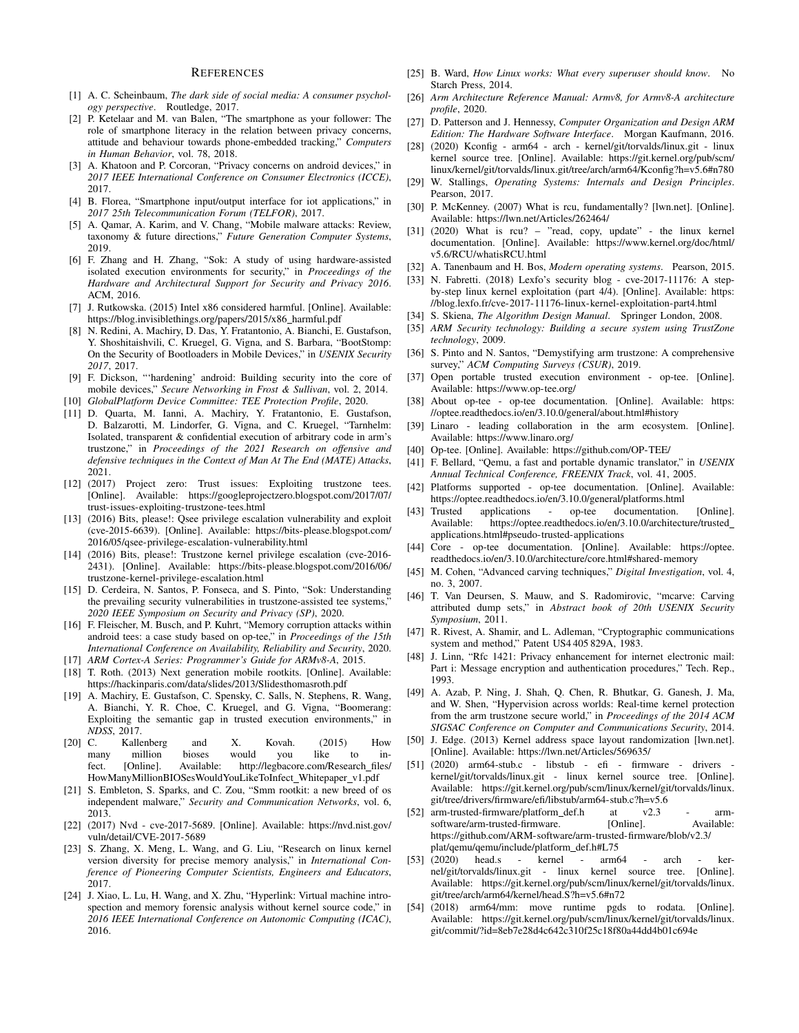## **REFERENCES**

- [1] A. C. Scheinbaum, *The dark side of social media: A consumer psychology perspective*. Routledge, 2017.
- [2] P. Ketelaar and M. van Balen, "The smartphone as your follower: The role of smartphone literacy in the relation between privacy concerns, attitude and behaviour towards phone-embedded tracking," *Computers in Human Behavior*, vol. 78, 2018.
- [3] A. Khatoon and P. Corcoran, "Privacy concerns on android devices," in *2017 IEEE International Conference on Consumer Electronics (ICCE)*, 2017.
- [4] B. Florea, "Smartphone input/output interface for iot applications," in *2017 25th Telecommunication Forum (TELFOR)*, 2017.
- [5] A. Qamar, A. Karim, and V. Chang, "Mobile malware attacks: Review, taxonomy & future directions," *Future Generation Computer Systems*, 2019.
- [6] F. Zhang and H. Zhang, "Sok: A study of using hardware-assisted isolated execution environments for security," in *Proceedings of the Hardware and Architectural Support for Security and Privacy 2016*. ACM, 2016.
- [7] J. Rutkowska. (2015) Intel x86 considered harmful. [Online]. Available: https://blog.invisiblethings.org/papers/2015/x86\_harmful.pdf
- [8] N. Redini, A. Machiry, D. Das, Y. Fratantonio, A. Bianchi, E. Gustafson, Y. Shoshitaishvili, C. Kruegel, G. Vigna, and S. Barbara, "BootStomp: On the Security of Bootloaders in Mobile Devices," in *USENIX Security 2017*, 2017.
- [9] F. Dickson, "'hardening' android: Building security into the core of mobile devices," *Secure Networking in Frost & Sullivan*, vol. 2, 2014.
- [10] *GlobalPlatform Device Committee: TEE Protection Profile*, 2020.
- [11] D. Quarta, M. Ianni, A. Machiry, Y. Fratantonio, E. Gustafson, D. Balzarotti, M. Lindorfer, G. Vigna, and C. Kruegel, "Tarnhelm: Isolated, transparent & confidential execution of arbitrary code in arm's trustzone," in *Proceedings of the 2021 Research on offensive and defensive techniques in the Context of Man At The End (MATE) Attacks*, 2021.
- [12] (2017) Project zero: Trust issues: Exploiting trustzone tees. [Online]. Available: https://googleprojectzero.blogspot.com/2017/07/ trust-issues-exploiting-trustzone-tees.html
- [13] (2016) Bits, please!: Qsee privilege escalation vulnerability and exploit (cve-2015-6639). [Online]. Available: https://bits-please.blogspot.com/ 2016/05/qsee-privilege-escalation-vulnerability.html
- [14] (2016) Bits, please!: Trustzone kernel privilege escalation (cve-2016-2431). [Online]. Available: https://bits-please.blogspot.com/2016/06/ trustzone-kernel-privilege-escalation.html
- [15] D. Cerdeira, N. Santos, P. Fonseca, and S. Pinto, "Sok: Understanding the prevailing security vulnerabilities in trustzone-assisted tee systems," *2020 IEEE Symposium on Security and Privacy (SP)*, 2020.
- [16] F. Fleischer, M. Busch, and P. Kuhrt, "Memory corruption attacks within android tees: a case study based on op-tee," in *Proceedings of the 15th International Conference on Availability, Reliability and Security*, 2020.
- [17] *ARM Cortex-A Series: Programmer's Guide for ARMv8-A*, 2015.
- [18] T. Roth. (2013) Next generation mobile rootkits. [Online]. Available: https://hackinparis.com/data/slides/2013/Slidesthomasroth.pdf
- [19] A. Machiry, E. Gustafson, C. Spensky, C. Salls, N. Stephens, R. Wang, A. Bianchi, Y. R. Choe, C. Kruegel, and G. Vigna, "Boomerang: Exploiting the semantic gap in trusted execution environments," in *NDSS*, 2017.
- [20] C. Kallenberg and X. Kovah. (2015) How many million bioses would you like to infect. [Online]. Available: http://legbacore.com/Research\_files/ HowManyMillionBIOSesWouldYouLikeToInfect\_Whitepaper\_v1.pdf
- [21] S. Embleton, S. Sparks, and C. Zou, "Smm rootkit: a new breed of os independent malware," *Security and Communication Networks*, vol. 6, 2013.
- [22] (2017) Nvd cve-2017-5689. [Online]. Available: https://nvd.nist.gov/ vuln/detail/CVE-2017-5689
- [23] S. Zhang, X. Meng, L. Wang, and G. Liu, "Research on linux kernel version diversity for precise memory analysis," in *International Conference of Pioneering Computer Scientists, Engineers and Educators*, 2017.
- [24] J. Xiao, L. Lu, H. Wang, and X. Zhu, "Hyperlink: Virtual machine introspection and memory forensic analysis without kernel source code," in *2016 IEEE International Conference on Autonomic Computing (ICAC)*, 2016.
- [25] B. Ward, *How Linux works: What every superuser should know*. No Starch Press, 2014.
- [26] *Arm Architecture Reference Manual: Armv8, for Armv8-A architecture profile*, 2020.
- [27] D. Patterson and J. Hennessy, *Computer Organization and Design ARM Edition: The Hardware Software Interface*. Morgan Kaufmann, 2016.
- [28] (2020) Kconfig arm64 arch kernel/git/torvalds/linux.git linux kernel source tree. [Online]. Available: https://git.kernel.org/pub/scm/ linux/kernel/git/torvalds/linux.git/tree/arch/arm64/Kconfig?h=v5.6#n780
- [29] W. Stallings, *Operating Systems: Internals and Design Principles*. Pearson, 2017.
- [30] P. McKenney. (2007) What is rcu, fundamentally? [lwn.net]. [Online]. Available: https://lwn.net/Articles/262464/
- [31] (2020) What is rcu? "read, copy, update" the linux kernel documentation. [Online]. Available: https://www.kernel.org/doc/html/ v5.6/RCU/whatisRCU.html
- [32] A. Tanenbaum and H. Bos, *Modern operating systems*. Pearson, 2015.
- [33] N. Fabretti. (2018) Lexfo's security blog cve-2017-11176: A stepby-step linux kernel exploitation (part 4/4). [Online]. Available: https: //blog.lexfo.fr/cve-2017-11176-linux-kernel-exploitation-part4.html
- [34] S. Skiena, *The Algorithm Design Manual*. Springer London, 2008.
- [35] *ARM Security technology: Building a secure system using TrustZone technology*, 2009.
- [36] S. Pinto and N. Santos, "Demystifying arm trustzone: A comprehensive survey," *ACM Computing Surveys (CSUR)*, 2019.
- [37] Open portable trusted execution environment op-tee. [Online]. Available: https://www.op-tee.org/
- [38] About op-tee op-tee documentation. [Online]. Available: https: //optee.readthedocs.io/en/3.10.0/general/about.html#history
- [39] Linaro leading collaboration in the arm ecosystem. [Online]. Available: https://www.linaro.org/
- [40] Op-tee. [Online]. Available: https://github.com/OP-TEE/
- [41] F. Bellard, "Qemu, a fast and portable dynamic translator," in *USENIX Annual Technical Conference, FREENIX Track*, vol. 41, 2005.
- [42] Platforms supported op-tee documentation. [Online]. Available: https://optee.readthedocs.io/en/3.10.0/general/platforms.html
- [43] Trusted applications op-tee documentation. [Online]. Available: https://optee.readthedocs.io/en/3.10.0/architecture/trusted\_ applications.html#pseudo-trusted-applications
- [44] Core op-tee documentation. [Online]. Available: https://optee. readthedocs.io/en/3.10.0/architecture/core.html#shared-memory
- [45] M. Cohen, "Advanced carving techniques," *Digital Investigation*, vol. 4, no. 3, 2007.
- [46] T. Van Deursen, S. Mauw, and S. Radomirovic, "mcarve: Carving attributed dump sets," in *Abstract book of 20th USENIX Security Symposium*, 2011.
- [47] R. Rivest, A. Shamir, and L. Adleman, "Cryptographic communications system and method," Patent US4 405 829A, 1983.
- [48] J. Linn, "Rfc 1421: Privacy enhancement for internet electronic mail: Part i: Message encryption and authentication procedures," Tech. Rep., 1993.
- [49] A. Azab, P. Ning, J. Shah, Q. Chen, R. Bhutkar, G. Ganesh, J. Ma, and W. Shen, "Hypervision across worlds: Real-time kernel protection from the arm trustzone secure world," in *Proceedings of the 2014 ACM SIGSAC Conference on Computer and Communications Security*, 2014.
- [50] J. Edge. (2013) Kernel address space layout randomization [lwn.net]. [Online]. Available: https://lwn.net/Articles/569635/
- [51] (2020) arm64-stub.c libstub efi firmware drivers kernel/git/torvalds/linux.git - linux kernel source tree. [Online]. Available: https://git.kernel.org/pub/scm/linux/kernel/git/torvalds/linux. git/tree/drivers/firmware/efi/libstub/arm64-stub.c?h=v5.6
- [52] arm-trusted-firmware/platform\_def.h at v2.3 armsoftware/arm-trusted-firmware. [Online]. Available: https://github.com/ARM-software/arm-trusted-firmware/blob/v2.3/ plat/qemu/qemu/include/platform\_def.h#L75
- [53] (2020) head.s kernel arm64 arch kernel/git/torvalds/linux.git - linux kernel source tree. [Online]. Available: https://git.kernel.org/pub/scm/linux/kernel/git/torvalds/linux. git/tree/arch/arm64/kernel/head.S?h=v5.6#n72
- [54] (2018) arm64/mm: move runtime pgds to rodata. [Online]. Available: https://git.kernel.org/pub/scm/linux/kernel/git/torvalds/linux. git/commit/?id=8eb7e28d4c642c310f25c18f80a44dd4b01c694e